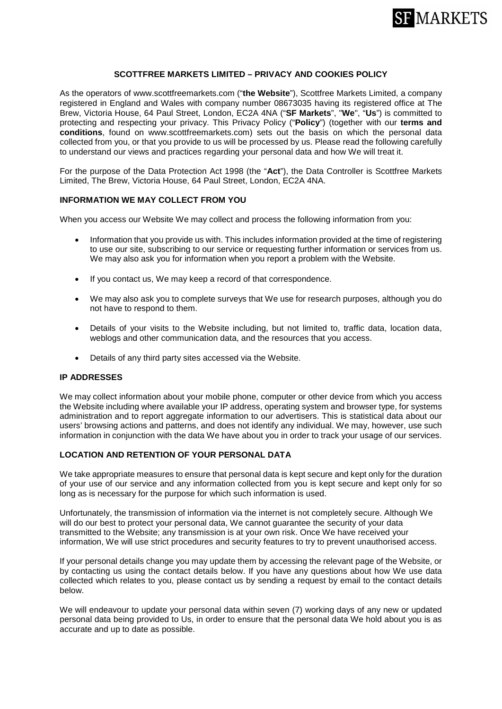

## **SCOTTFREE MARKETS LIMITED – PRIVACY AND COOKIES POLICY**

As the operators of www.scottfreemarkets.com ("**the Website**"), Scottfree Markets Limited, a company registered in England and Wales with company number 08673035 having its registered office at The Brew, Victoria House, 64 Paul Street, London, EC2A 4NA ("**SF Markets**", "**We**", "**Us**") is committed to protecting and respecting your privacy. This Privacy Policy ("**Policy**") (together with our **terms and conditions**, found on www.scottfreemarkets.com) sets out the basis on which the personal data collected from you, or that you provide to us will be processed by us. Please read the following carefully to understand our views and practices regarding your personal data and how We will treat it.

For the purpose of the Data Protection Act 1998 (the "**Act**"), the Data Controller is Scottfree Markets Limited, The Brew, Victoria House, 64 Paul Street, London, EC2A 4NA.

### **INFORMATION WE MAY COLLECT FROM YOU**

When you access our Website We may collect and process the following information from you:

- Information that you provide us with. This includes information provided at the time of registering to use our site, subscribing to our service or requesting further information or services from us. We may also ask you for information when you report a problem with the Website.
- If you contact us, We may keep a record of that correspondence.
- We may also ask you to complete surveys that We use for research purposes, although you do not have to respond to them.
- Details of your visits to the Website including, but not limited to, traffic data, location data, weblogs and other communication data, and the resources that you access.
- Details of any third party sites accessed via the Website.

### **IP ADDRESSES**

We may collect information about your mobile phone, computer or other device from which you access the Website including where available your IP address, operating system and browser type, for systems administration and to report aggregate information to our advertisers. This is statistical data about our users' browsing actions and patterns, and does not identify any individual. We may, however, use such information in conjunction with the data We have about you in order to track your usage of our services.

#### **LOCATION AND RETENTION OF YOUR PERSONAL DATA**

We take appropriate measures to ensure that personal data is kept secure and kept only for the duration of your use of our service and any information collected from you is kept secure and kept only for so long as is necessary for the purpose for which such information is used.

Unfortunately, the transmission of information via the internet is not completely secure. Although We will do our best to protect your personal data, We cannot guarantee the security of your data transmitted to the Website; any transmission is at your own risk. Once We have received your information, We will use strict procedures and security features to try to prevent unauthorised access.

If your personal details change you may update them by accessing the relevant page of the Website, or by contacting us using the contact details below. If you have any questions about how We use data collected which relates to you, please contact us by sending a request by email to the contact details below.

We will endeavour to update your personal data within seven (7) working days of any new or updated personal data being provided to Us, in order to ensure that the personal data We hold about you is as accurate and up to date as possible.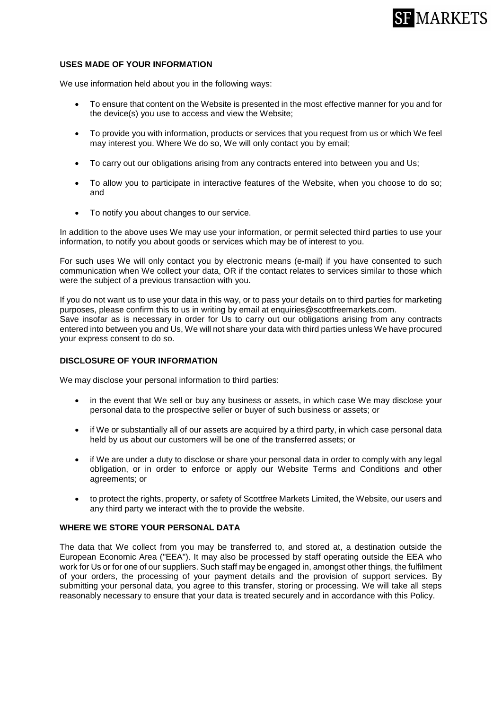

#### **USES MADE OF YOUR INFORMATION**

We use information held about you in the following ways:

- To ensure that content on the Website is presented in the most effective manner for you and for the device(s) you use to access and view the Website;
- To provide you with information, products or services that you request from us or which We feel may interest you. Where We do so, We will only contact you by email;
- To carry out our obligations arising from any contracts entered into between you and Us;
- To allow you to participate in interactive features of the Website, when you choose to do so; and
- To notify you about changes to our service.

In addition to the above uses We may use your information, or permit selected third parties to use your information, to notify you about goods or services which may be of interest to you.

For such uses We will only contact you by electronic means (e-mail) if you have consented to such communication when We collect your data, OR if the contact relates to services similar to those which were the subject of a previous transaction with you.

If you do not want us to use your data in this way, or to pass your details on to third parties for marketing purposes, please confirm this to us in writing by email at enquiries@scottfreemarkets.com. Save insofar as is necessary in order for Us to carry out our obligations arising from any contracts entered into between you and Us, We will not share your data with third parties unless We have procured your express consent to do so.

#### **DISCLOSURE OF YOUR INFORMATION**

We may disclose your personal information to third parties:

- in the event that We sell or buy any business or assets, in which case We may disclose your personal data to the prospective seller or buyer of such business or assets; or
- if We or substantially all of our assets are acquired by a third party, in which case personal data held by us about our customers will be one of the transferred assets; or
- if We are under a duty to disclose or share your personal data in order to comply with any legal obligation, or in order to enforce or apply our Website Terms and Conditions and other agreements; or
- to protect the rights, property, or safety of Scottfree Markets Limited, the Website, our users and any third party we interact with the to provide the website.

## **WHERE WE STORE YOUR PERSONAL DATA**

The data that We collect from you may be transferred to, and stored at, a destination outside the European Economic Area ("EEA"). It may also be processed by staff operating outside the EEA who work for Us or for one of our suppliers. Such staff may be engaged in, amongst other things, the fulfilment of your orders, the processing of your payment details and the provision of support services. By submitting your personal data, you agree to this transfer, storing or processing. We will take all steps reasonably necessary to ensure that your data is treated securely and in accordance with this Policy.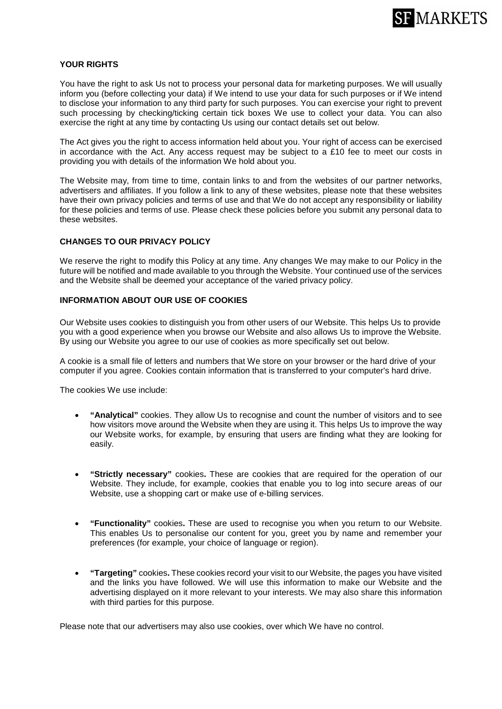

#### **YOUR RIGHTS**

You have the right to ask Us not to process your personal data for marketing purposes. We will usually inform you (before collecting your data) if We intend to use your data for such purposes or if We intend to disclose your information to any third party for such purposes. You can exercise your right to prevent such processing by checking/ticking certain tick boxes We use to collect your data. You can also exercise the right at any time by contacting Us using our contact details set out below.

The Act gives you the right to access information held about you. Your right of access can be exercised in accordance with the Act. Any access request may be subject to a £10 fee to meet our costs in providing you with details of the information We hold about you.

The Website may, from time to time, contain links to and from the websites of our partner networks, advertisers and affiliates. If you follow a link to any of these websites, please note that these websites have their own privacy policies and terms of use and that We do not accept any responsibility or liability for these policies and terms of use. Please check these policies before you submit any personal data to these websites.

#### **CHANGES TO OUR PRIVACY POLICY**

We reserve the right to modify this Policy at any time. Any changes We may make to our Policy in the future will be notified and made available to you through the Website. Your continued use of the services and the Website shall be deemed your acceptance of the varied privacy policy.

### **INFORMATION ABOUT OUR USE OF COOKIES**

Our Website uses cookies to distinguish you from other users of our Website. This helps Us to provide you with a good experience when you browse our Website and also allows Us to improve the Website. By using our Website you agree to our use of cookies as more specifically set out below.

A cookie is a small file of letters and numbers that We store on your browser or the hard drive of your computer if you agree. Cookies contain information that is transferred to your computer's hard drive.

The cookies We use include:

- **"Analytical"** cookies. They allow Us to recognise and count the number of visitors and to see how visitors move around the Website when they are using it. This helps Us to improve the way our Website works, for example, by ensuring that users are finding what they are looking for easily.
- **"Strictly necessary"** cookies**.** These are cookies that are required for the operation of our Website. They include, for example, cookies that enable you to log into secure areas of our Website, use a shopping cart or make use of e-billing services.
- **"Functionality"** cookies**.** These are used to recognise you when you return to our Website. This enables Us to personalise our content for you, greet you by name and remember your preferences (for example, your choice of language or region).
- **"Targeting"** cookies**.** These cookies record your visit to our Website, the pages you have visited and the links you have followed. We will use this information to make our Website and the advertising displayed on it more relevant to your interests. We may also share this information with third parties for this purpose.

Please note that our advertisers may also use cookies, over which We have no control.